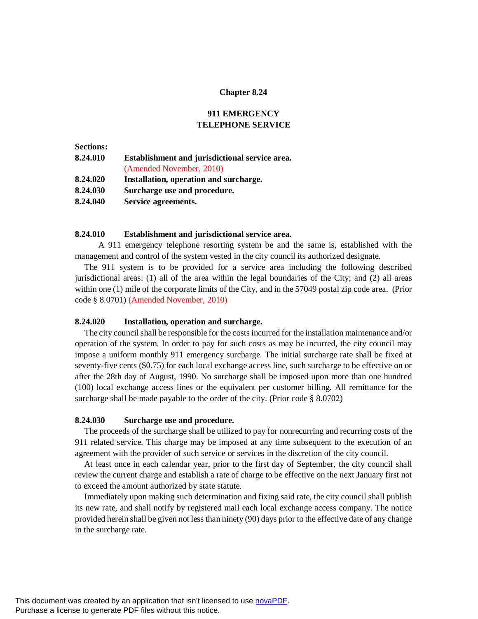#### **Chapter 8.24**

## **911 EMERGENCY TELEPHONE SERVICE**

# **Sections: 8.24.010 Establishment and jurisdictional service area.** (Amended November, 2010) **8.24.020 Installation, operation and surcharge. 8.24.030 Surcharge use and procedure. 8.24.040 Service agreements.**

## **8.24.010 Establishment and jurisdictional service area.**

A 911 emergency telephone resorting system be and the same is, established with the management and control of the system vested in the city council its authorized designate.

The 911 system is to be provided for a service area including the following described jurisdictional areas: (1) all of the area within the legal boundaries of the City; and (2) all areas within one (1) mile of the corporate limits of the City, and in the 57049 postal zip code area. (Prior code § 8.0701) (Amended November, 2010)

#### **8.24.020 Installation, operation and surcharge.**

The city council shall be responsible for the costs incurred for the installation maintenance and/or operation of the system. In order to pay for such costs as may be incurred, the city council may impose a uniform monthly 911 emergency surcharge. The initial surcharge rate shall be fixed at seventy-five cents (\$0.75) for each local exchange access line, such surcharge to be effective on or after the 28th day of August, 1990. No surcharge shall be imposed upon more than one hundred (100) local exchange access lines or the equivalent per customer billing. All remittance for the surcharge shall be made payable to the order of the city. (Prior code § 8.0702)

#### **8.24.030 Surcharge use and procedure.**

The proceeds of the surcharge shall be utilized to pay for nonrecurring and recurring costs of the 911 related service. This charge may be imposed at any time subsequent to the execution of an agreement with the provider of such service or services in the discretion of the city council.

At least once in each calendar year, prior to the first day of September, the city council shall review the current charge and establish a rate of charge to be effective on the next January first not to exceed the amount authorized by state statute.

Immediately upon making such determination and fixing said rate, the city council shall publish its new rate, and shall notify by registered mail each local exchange access company. The notice provided herein shall be given not less than ninety (90) days prior to the effective date of any change in the surcharge rate.